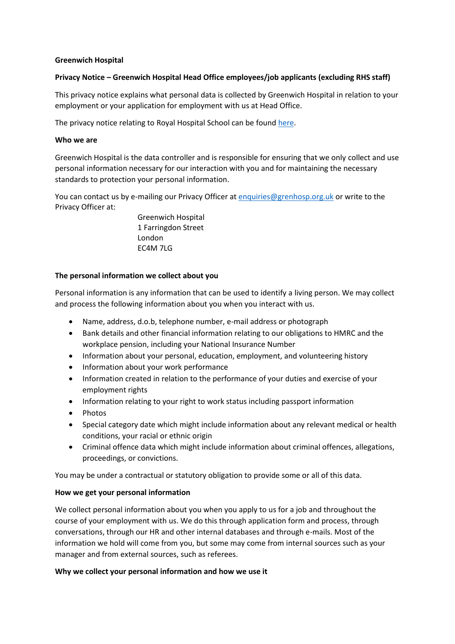### **Greenwich Hospital**

## **Privacy Notice – Greenwich Hospital Head Office employees/job applicants (excluding RHS staff)**

This privacy notice explains what personal data is collected by Greenwich Hospital in relation to your employment or your application for employment with us at Head Office.

The privacy notice relating to Royal Hospital School can be found [here.](https://theroyalhospitalschool.sharepoint.com/sites/StaffHandbook/Shared%20Documents/Forms/AllItems.aspx?id=%2Fsites%2FStaffHandbook%2FShared%20Documents%2F03%20%2D%20Job%20Descriptions%2C%20Duties%20and%20Responsibilities%2FSchool%20Privacy%20Notice%2Epdf&parent=%2Fsites%2FStaffHandbook%2FShared%20Documents%2F03%20%2D%20Job%20Descriptions%2C%20Duties%20and%20Responsibilities&p=true&ga=1)

### **Who we are**

Greenwich Hospital is the data controller and is responsible for ensuring that we only collect and use personal information necessary for our interaction with you and for maintaining the necessary standards to protection your personal information.

You can contact us by e-mailing our Privacy Officer at [enquiries@grenhosp.org.uk](mailto:enquiries@grenhosp.org.uk) or write to the Privacy Officer at:

> Greenwich Hospital 1 Farringdon Street London EC4M 7LG

#### **The personal information we collect about you**

Personal information is any information that can be used to identify a living person. We may collect and process the following information about you when you interact with us.

- Name, address, d.o.b, telephone number, e-mail address or photograph
- Bank details and other financial information relating to our obligations to HMRC and the workplace pension, including your National Insurance Number
- Information about your personal, education, employment, and volunteering history
- Information about your work performance
- Information created in relation to the performance of your duties and exercise of your employment rights
- Information relating to your right to work status including passport information
- Photos
- Special category date which might include information about any relevant medical or health conditions, your racial or ethnic origin
- Criminal offence data which might include information about criminal offences, allegations, proceedings, or convictions.

You may be under a contractual or statutory obligation to provide some or all of this data.

### **How we get your personal information**

We collect personal information about you when you apply to us for a job and throughout the course of your employment with us. We do this through application form and process, through conversations, through our HR and other internal databases and through e-mails. Most of the information we hold will come from you, but some may come from internal sources such as your manager and from external sources, such as referees.

### **Why we collect your personal information and how we use it**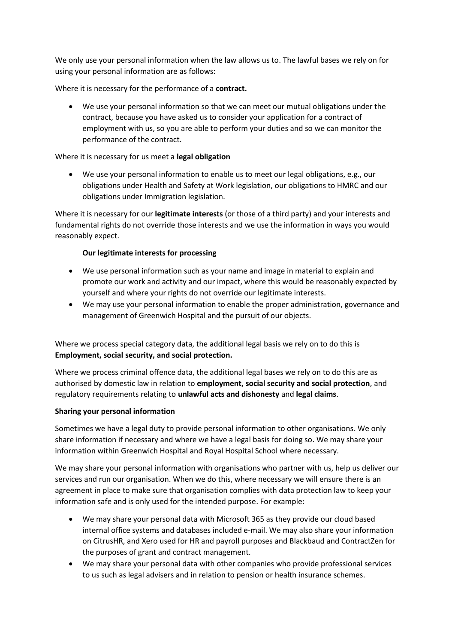We only use your personal information when the law allows us to. The lawful bases we rely on for using your personal information are as follows:

Where it is necessary for the performance of a **contract.**

• We use your personal information so that we can meet our mutual obligations under the contract, because you have asked us to consider your application for a contract of employment with us, so you are able to perform your duties and so we can monitor the performance of the contract.

# Where it is necessary for us meet a **legal obligation**

• We use your personal information to enable us to meet our legal obligations, e.g., our obligations under Health and Safety at Work legislation, our obligations to HMRC and our obligations under Immigration legislation.

Where it is necessary for our **legitimate interests** (or those of a third party) and your interests and fundamental rights do not override those interests and we use the information in ways you would reasonably expect.

# **Our legitimate interests for processing**

- We use personal information such as your name and image in material to explain and promote our work and activity and our impact, where this would be reasonably expected by yourself and where your rights do not override our legitimate interests.
- We may use your personal information to enable the proper administration, governance and management of Greenwich Hospital and the pursuit of our objects.

Where we process special category data, the additional legal basis we rely on to do this is **Employment, social security, and social protection.**

Where we process criminal offence data, the additional legal bases we rely on to do this are as authorised by domestic law in relation to **employment, social security and social protection**, and regulatory requirements relating to **unlawful acts and dishonesty** and **legal claims**.

# **Sharing your personal information**

Sometimes we have a legal duty to provide personal information to other organisations. We only share information if necessary and where we have a legal basis for doing so. We may share your information within Greenwich Hospital and Royal Hospital School where necessary.

We may share your personal information with organisations who partner with us, help us deliver our services and run our organisation. When we do this, where necessary we will ensure there is an agreement in place to make sure that organisation complies with data protection law to keep your information safe and is only used for the intended purpose. For example:

- We may share your personal data with Microsoft 365 as they provide our cloud based internal office systems and databases included e-mail. We may also share your information on CitrusHR, and Xero used for HR and payroll purposes and Blackbaud and ContractZen for the purposes of grant and contract management.
- We may share your personal data with other companies who provide professional services to us such as legal advisers and in relation to pension or health insurance schemes.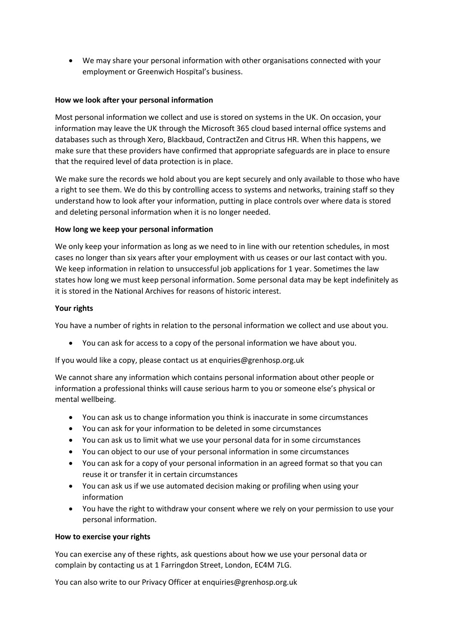• We may share your personal information with other organisations connected with your employment or Greenwich Hospital's business.

### **How we look after your personal information**

Most personal information we collect and use is stored on systems in the UK. On occasion, your information may leave the UK through the Microsoft 365 cloud based internal office systems and databases such as through Xero, Blackbaud, ContractZen and Citrus HR. When this happens, we make sure that these providers have confirmed that appropriate safeguards are in place to ensure that the required level of data protection is in place.

We make sure the records we hold about you are kept securely and only available to those who have a right to see them. We do this by controlling access to systems and networks, training staff so they understand how to look after your information, putting in place controls over where data is stored and deleting personal information when it is no longer needed.

### **How long we keep your personal information**

We only keep your information as long as we need to in line with our retention schedules, in most cases no longer than six years after your employment with us ceases or our last contact with you. We keep information in relation to unsuccessful job applications for 1 year. Sometimes the law states how long we must keep personal information. Some personal data may be kept indefinitely as it is stored in the National Archives for reasons of historic interest.

## **Your rights**

You have a number of rights in relation to the personal information we collect and use about you.

• You can ask for access to a copy of the personal information we have about you.

If you would like a copy, please contact us at enquiries@grenhosp.org.uk

We cannot share any information which contains personal information about other people or information a professional thinks will cause serious harm to you or someone else's physical or mental wellbeing.

- You can ask us to change information you think is inaccurate in some circumstances
- You can ask for your information to be deleted in some circumstances
- You can ask us to limit what we use your personal data for in some circumstances
- You can object to our use of your personal information in some circumstances
- You can ask for a copy of your personal information in an agreed format so that you can reuse it or transfer it in certain circumstances
- You can ask us if we use automated decision making or profiling when using your information
- You have the right to withdraw your consent where we rely on your permission to use your personal information.

### **How to exercise your rights**

You can exercise any of these rights, ask questions about how we use your personal data or complain by contacting us at 1 Farringdon Street, London, EC4M 7LG.

You can also write to our Privacy Officer at enquiries@grenhosp.org.uk